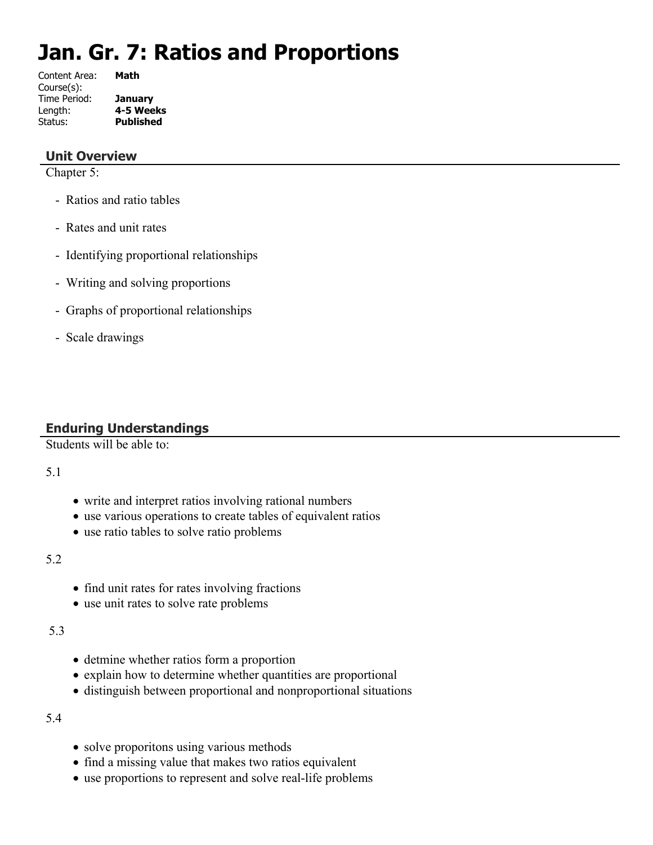# **Jan. Gr. 7: Ratios and Proportions**

Content Area: **Math** Course(s): Time Period: **January** Length: **4-5 Weeks** Status: **Published**

## **Unit Overview**

Chapter 5:

- Ratios and ratio tables
- Rates and unit rates
- Identifying proportional relationships
- Writing and solving proportions
- Graphs of proportional relationships
- Scale drawings

# **Enduring Understandings**

Students will be able to:

#### 5.1

- write and interpret ratios involving rational numbers
- use various operations to create tables of equivalent ratios
- use ratio tables to solve ratio problems

#### 5.2

- find unit rates for rates involving fractions
- use unit rates to solve rate problems

#### 5.3

- detmine whether ratios form a proportion
- explain how to determine whether quantities are proportional
- distinguish between proportional and nonproportional situations

#### 5.4

- solve proporitons using various methods
- find a missing value that makes two ratios equivalent
- use proportions to represent and solve real-life problems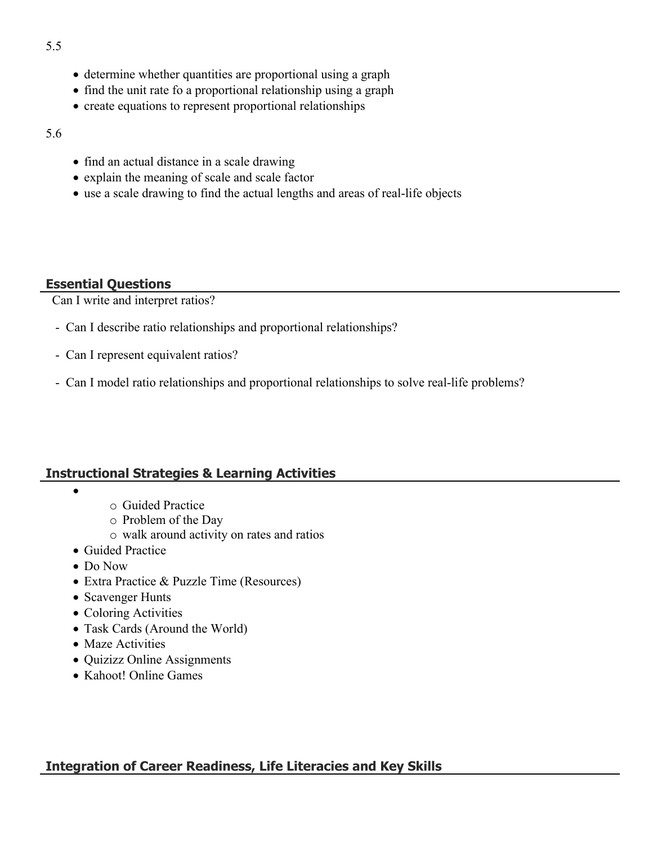- determine whether quantities are proportional using a graph
- find the unit rate fo a proportional relationship using a graph
- create equations to represent proportional relationships
- 5.6
- find an actual distance in a scale drawing
- explain the meaning of scale and scale factor
- use a scale drawing to find the actual lengths and areas of real-life objects

# **Essential Questions**

Can I write and interpret ratios?

- Can I describe ratio relationships and proportional relationships?
- Can I represent equivalent ratios?
- Can I model ratio relationships and proportional relationships to solve real-life problems?

# **Instructional Strategies & Learning Activities**

- $\bullet$
- o Guided Practice
- o Problem of the Day
- o walk around activity on rates and ratios
- Guided Practice
- Do Now
- Extra Practice & Puzzle Time (Resources)
- Scavenger Hunts
- Coloring Activities
- Task Cards (Around the World)
- Maze Activities
- Quizizz Online Assignments
- Kahoot! Online Games

# **Integration of Career Readiness, Life Literacies and Key Skills**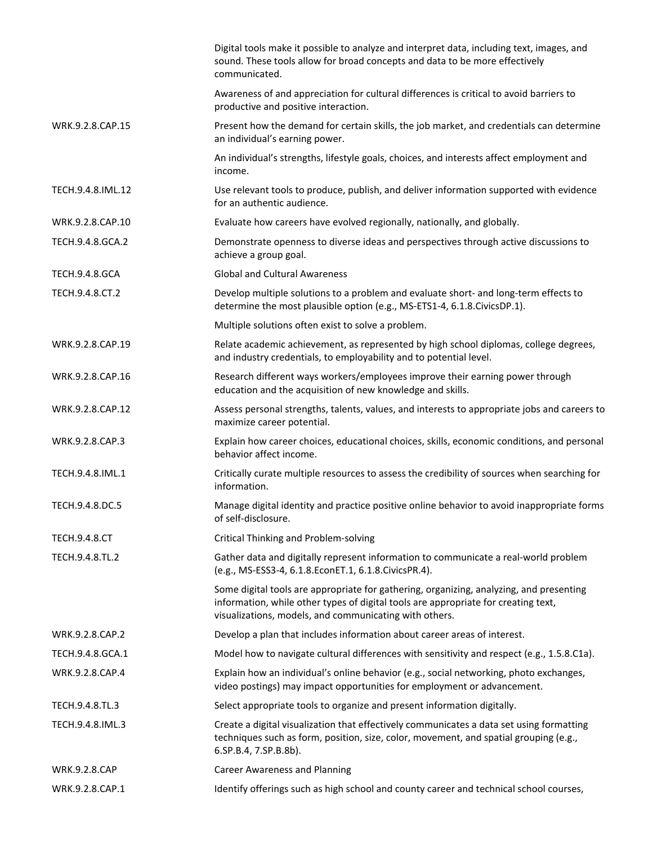|                       | Digital tools make it possible to analyze and interpret data, including text, images, and<br>sound. These tools allow for broad concepts and data to be more effectively<br>communicated.                                               |  |
|-----------------------|-----------------------------------------------------------------------------------------------------------------------------------------------------------------------------------------------------------------------------------------|--|
|                       | Awareness of and appreciation for cultural differences is critical to avoid barriers to<br>productive and positive interaction.                                                                                                         |  |
| WRK.9.2.8.CAP.15      | Present how the demand for certain skills, the job market, and credentials can determine<br>an individual's earning power.                                                                                                              |  |
|                       | An individual's strengths, lifestyle goals, choices, and interests affect employment and<br>income.                                                                                                                                     |  |
| TECH.9.4.8.IML.12     | Use relevant tools to produce, publish, and deliver information supported with evidence<br>for an authentic audience.                                                                                                                   |  |
| WRK.9.2.8.CAP.10      | Evaluate how careers have evolved regionally, nationally, and globally.                                                                                                                                                                 |  |
| TECH.9.4.8.GCA.2      | Demonstrate openness to diverse ideas and perspectives through active discussions to<br>achieve a group goal.                                                                                                                           |  |
| <b>TECH.9.4.8.GCA</b> | <b>Global and Cultural Awareness</b>                                                                                                                                                                                                    |  |
| TECH.9.4.8.CT.2       | Develop multiple solutions to a problem and evaluate short- and long-term effects to<br>determine the most plausible option (e.g., MS-ETS1-4, 6.1.8.CivicsDP.1).                                                                        |  |
|                       | Multiple solutions often exist to solve a problem.                                                                                                                                                                                      |  |
| WRK.9.2.8.CAP.19      | Relate academic achievement, as represented by high school diplomas, college degrees,<br>and industry credentials, to employability and to potential level.                                                                             |  |
| WRK.9.2.8.CAP.16      | Research different ways workers/employees improve their earning power through<br>education and the acquisition of new knowledge and skills.                                                                                             |  |
| WRK.9.2.8.CAP.12      | Assess personal strengths, talents, values, and interests to appropriate jobs and careers to<br>maximize career potential.                                                                                                              |  |
| WRK.9.2.8.CAP.3       | Explain how career choices, educational choices, skills, economic conditions, and personal<br>behavior affect income.                                                                                                                   |  |
| TECH.9.4.8.IML.1      | Critically curate multiple resources to assess the credibility of sources when searching for<br>information.                                                                                                                            |  |
| TECH.9.4.8.DC.5       | Manage digital identity and practice positive online behavior to avoid inappropriate forms<br>of self-disclosure.                                                                                                                       |  |
| <b>TECH.9.4.8.CT</b>  | Critical Thinking and Problem-solving                                                                                                                                                                                                   |  |
| TECH.9.4.8.TL.2       | Gather data and digitally represent information to communicate a real-world problem<br>(e.g., MS-ESS3-4, 6.1.8.EconET.1, 6.1.8.CivicsPR.4).                                                                                             |  |
|                       | Some digital tools are appropriate for gathering, organizing, analyzing, and presenting<br>information, while other types of digital tools are appropriate for creating text,<br>visualizations, models, and communicating with others. |  |
| WRK.9.2.8.CAP.2       | Develop a plan that includes information about career areas of interest.                                                                                                                                                                |  |
| TECH.9.4.8.GCA.1      | Model how to navigate cultural differences with sensitivity and respect (e.g., 1.5.8.C1a).                                                                                                                                              |  |
| WRK.9.2.8.CAP.4       | Explain how an individual's online behavior (e.g., social networking, photo exchanges,<br>video postings) may impact opportunities for employment or advancement.                                                                       |  |
| TECH.9.4.8.TL.3       | Select appropriate tools to organize and present information digitally.                                                                                                                                                                 |  |
| TECH.9.4.8.IML.3      | Create a digital visualization that effectively communicates a data set using formatting<br>techniques such as form, position, size, color, movement, and spatial grouping (e.g.,<br>6.SP.B.4, 7.SP.B.8b).                              |  |
| <b>WRK.9.2.8.CAP</b>  | <b>Career Awareness and Planning</b>                                                                                                                                                                                                    |  |
| WRK.9.2.8.CAP.1       | Identify offerings such as high school and county career and technical school courses,                                                                                                                                                  |  |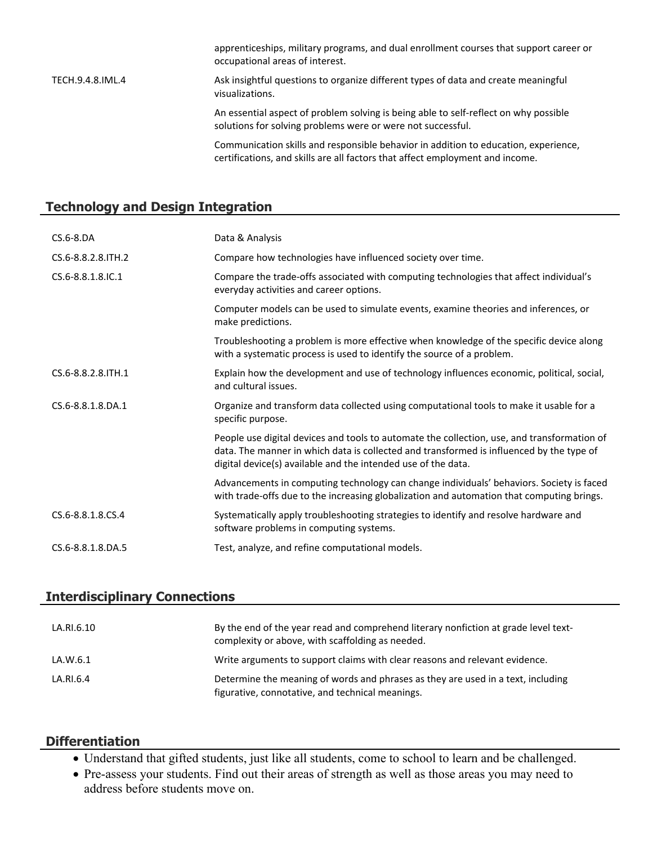occupational areas of interest. TECH.9.4.8.IML.4 Ask insightful questions to organize different types of data and create meaningful visualizations. An essential aspect of problem solving is being able to self-reflect on why possible solutions for solving problems were or were not successful.

> Communication skills and responsible behavior in addition to education, experience, certifications, and skills are all factors that affect employment and income.

apprenticeships, military programs, and dual enrollment courses that support career or

#### **Technology and Design Integration**

| $CS.6 - 8.DA$        | Data & Analysis                                                                                                                                                                                                                                          |  |
|----------------------|----------------------------------------------------------------------------------------------------------------------------------------------------------------------------------------------------------------------------------------------------------|--|
| CS.6-8.8.2.8. ITH. 2 | Compare how technologies have influenced society over time.                                                                                                                                                                                              |  |
| CS.6-8.8.1.8.IC.1    | Compare the trade-offs associated with computing technologies that affect individual's<br>everyday activities and career options.                                                                                                                        |  |
|                      | Computer models can be used to simulate events, examine theories and inferences, or<br>make predictions.                                                                                                                                                 |  |
|                      | Troubleshooting a problem is more effective when knowledge of the specific device along<br>with a systematic process is used to identify the source of a problem.                                                                                        |  |
| CS.6-8.8.2.8. ITH.1  | Explain how the development and use of technology influences economic, political, social,<br>and cultural issues.                                                                                                                                        |  |
| CS.6-8.8.1.8.DA.1    | Organize and transform data collected using computational tools to make it usable for a<br>specific purpose.                                                                                                                                             |  |
|                      | People use digital devices and tools to automate the collection, use, and transformation of<br>data. The manner in which data is collected and transformed is influenced by the type of<br>digital device(s) available and the intended use of the data. |  |
|                      | Advancements in computing technology can change individuals' behaviors. Society is faced<br>with trade-offs due to the increasing globalization and automation that computing brings.                                                                    |  |
| CS.6-8.8.1.8.CS.4    | Systematically apply troubleshooting strategies to identify and resolve hardware and<br>software problems in computing systems.                                                                                                                          |  |
| CS.6-8.8.1.8.DA.5    | Test, analyze, and refine computational models.                                                                                                                                                                                                          |  |

#### **Interdisciplinary Connections**

| LA.RI.6.10 | By the end of the year read and comprehend literary nonfiction at grade level text-<br>complexity or above, with scaffolding as needed. |
|------------|-----------------------------------------------------------------------------------------------------------------------------------------|
| LA.W.6.1   | Write arguments to support claims with clear reasons and relevant evidence.                                                             |
| LA.RI.6.4  | Determine the meaning of words and phrases as they are used in a text, including<br>figurative, connotative, and technical meanings.    |

#### **Differentiation**

- Understand that gifted students, just like all students, come to school to learn and be challenged.
- Pre-assess your students. Find out their areas of strength as well as those areas you may need to address before students move on.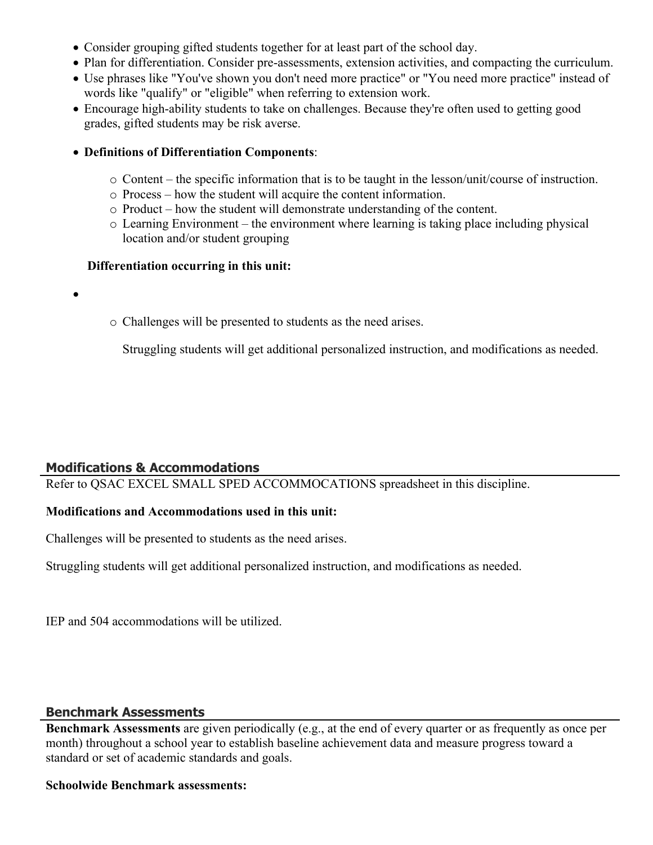- Consider grouping gifted students together for at least part of the school day.
- Plan for differentiation. Consider pre-assessments, extension activities, and compacting the curriculum.
- Use phrases like "You've shown you don't need more practice" or "You need more practice" instead of words like "qualify" or "eligible" when referring to extension work.
- Encourage high-ability students to take on challenges. Because they're often used to getting good grades, gifted students may be risk averse.
- **Definitions of Differentiation Components**:
	- o Content the specific information that is to be taught in the lesson/unit/course of instruction.
	- o Process how the student will acquire the content information.
	- o Product how the student will demonstrate understanding of the content.
	- o Learning Environment the environment where learning is taking place including physical location and/or student grouping

#### **Differentiation occurring in this unit:**

o Challenges will be presented to students as the need arises.

Struggling students will get additional personalized instruction, and modifications as needed.

# **Modifications & Accommodations**

 $\bullet$ 

Refer to QSAC EXCEL SMALL SPED ACCOMMOCATIONS spreadsheet in this discipline.

# **Modifications and Accommodations used in this unit:**

Challenges will be presented to students as the need arises.

Struggling students will get additional personalized instruction, and modifications as needed.

IEP and 504 accommodations will be utilized.

#### **Benchmark Assessments**

**Benchmark Assessments** are given periodically (e.g., at the end of every quarter or as frequently as once per month) throughout a school year to establish baseline achievement data and measure progress toward a standard or set of academic standards and goals.

#### **Schoolwide Benchmark assessments:**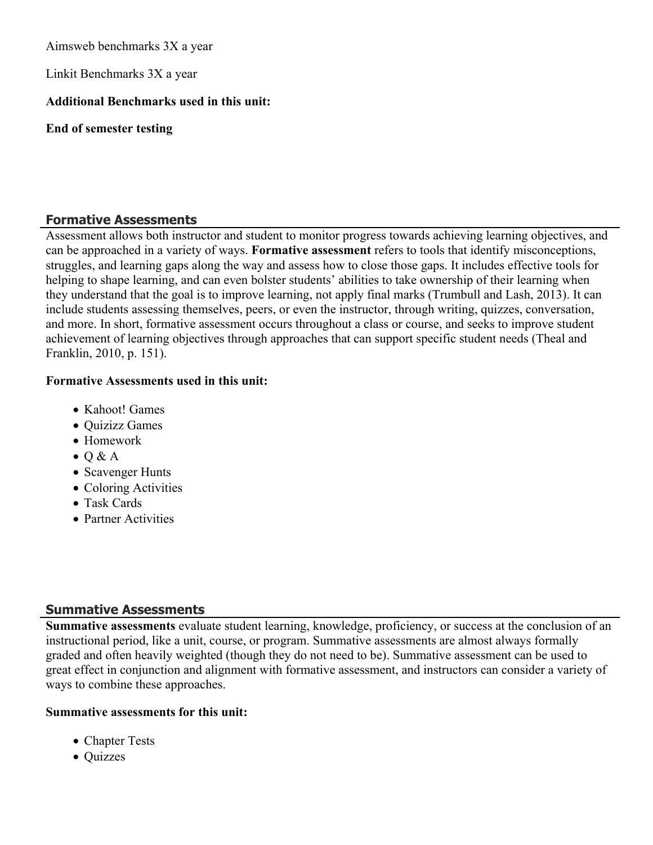Aimsweb benchmarks 3X a year

Linkit Benchmarks 3X a year

# **Additional Benchmarks used in this unit:**

**End of semester testing**

# **Formative Assessments**

Assessment allows both instructor and student to monitor progress towards achieving learning objectives, and can be approached in a variety of ways. **Formative assessment** refers to tools that identify misconceptions, struggles, and learning gaps along the way and assess how to close those gaps. It includes effective tools for helping to shape learning, and can even bolster students' abilities to take ownership of their learning when they understand that the goal is to improve learning, not apply final marks (Trumbull and Lash, 2013). It can include students assessing themselves, peers, or even the instructor, through writing, quizzes, conversation, and more. In short, formative assessment occurs throughout a class or course, and seeks to improve student achievement of learning objectives through approaches that can support specific student needs (Theal and Franklin, 2010, p. 151).

#### **Formative Assessments used in this unit:**

- Kahoot! Games
- Quizizz Games
- Homework
- $\bullet$  Q & A
- Scavenger Hunts
- Coloring Activities
- Task Cards
- Partner Activities

# **Summative Assessments**

**Summative assessments** evaluate student learning, knowledge, proficiency, or success at the conclusion of an instructional period, like a unit, course, or program. Summative assessments are almost always formally graded and often heavily weighted (though they do not need to be). Summative assessment can be used to great effect in conjunction and alignment with formative assessment, and instructors can consider a variety of ways to combine these approaches.

#### **Summative assessments for this unit:**

- Chapter Tests
- Quizzes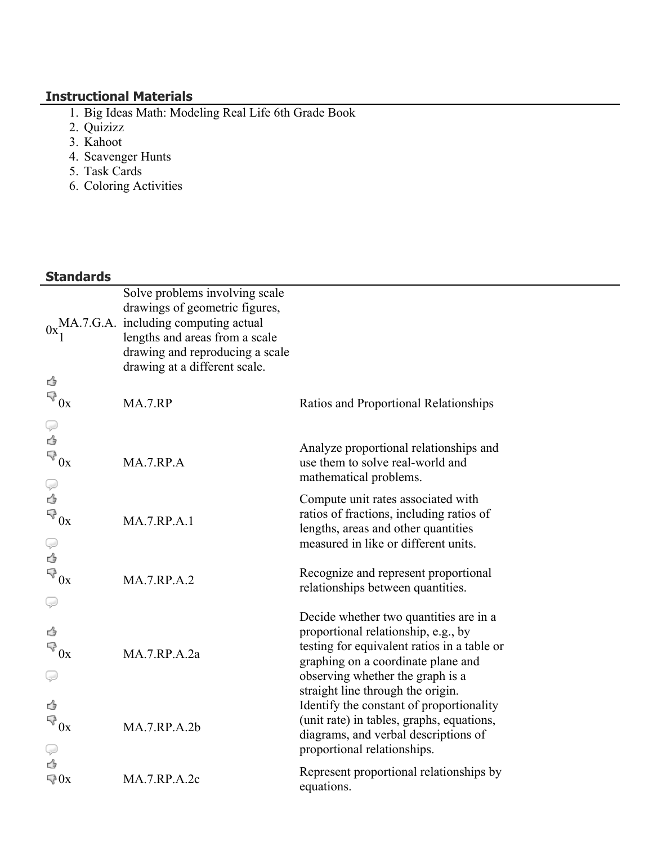# **Instructional Materials**

- 1. Big Ideas Math: Modeling Real Life 6th Grade Book
- 2. Quizizz
- 3. Kahoot
- 4. Scavenger Hunts
- 5. Task Cards
- 6. Coloring Activities

# **Standards**

|                              | Solve problems involving scale<br>drawings of geometric figures, |                                                                        |  |  |
|------------------------------|------------------------------------------------------------------|------------------------------------------------------------------------|--|--|
|                              | $0x_1$ MA.7.G.A. including computing actual                      |                                                                        |  |  |
|                              | lengths and areas from a scale                                   |                                                                        |  |  |
|                              | drawing and reproducing a scale                                  |                                                                        |  |  |
|                              | drawing at a different scale.                                    |                                                                        |  |  |
| ₹                            |                                                                  |                                                                        |  |  |
| $\mathbb{R}^3_{0x}$          | MA.7.RP                                                          | Ratios and Proportional Relationships                                  |  |  |
|                              |                                                                  |                                                                        |  |  |
| ₹                            |                                                                  | Analyze proportional relationships and                                 |  |  |
| $\mathbb{R}^3$ Ox            | MA.7.RP.A                                                        | use them to solve real-world and                                       |  |  |
| Q                            |                                                                  | mathematical problems.                                                 |  |  |
| ₹                            |                                                                  | Compute unit rates associated with                                     |  |  |
| $\overline{\mathbb{R}}_{0x}$ | <b>MA.7.RP.A.1</b>                                               | ratios of fractions, including ratios of                               |  |  |
|                              |                                                                  | lengths, areas and other quantities                                    |  |  |
| Q                            |                                                                  | measured in like or different units.                                   |  |  |
| ₹                            |                                                                  | Recognize and represent proportional                                   |  |  |
| $\mathbb{R}^3$ Ox            | <b>MA.7.RP.A.2</b>                                               | relationships between quantities.                                      |  |  |
| Q                            |                                                                  |                                                                        |  |  |
|                              |                                                                  | Decide whether two quantities are in a                                 |  |  |
| ₹                            |                                                                  | proportional relationship, e.g., by                                    |  |  |
| $\mathbb{R}^3_{0x}$          | MA.7.RP.A.2a                                                     | testing for equivalent ratios in a table or                            |  |  |
| Ç                            |                                                                  | graphing on a coordinate plane and<br>observing whether the graph is a |  |  |
|                              |                                                                  | straight line through the origin.                                      |  |  |
| ₹                            |                                                                  | Identify the constant of proportionality                               |  |  |
| $\mathbb{R}^3_{0x}$          |                                                                  | (unit rate) in tables, graphs, equations,                              |  |  |
|                              | MA.7.RP.A.2b                                                     | diagrams, and verbal descriptions of                                   |  |  |
| Q                            |                                                                  | proportional relationships.                                            |  |  |
| ₹<br>$\Box$ 0x               | <b>MA.7.RP.A.2c</b>                                              | Represent proportional relationships by                                |  |  |
|                              |                                                                  | equations.                                                             |  |  |